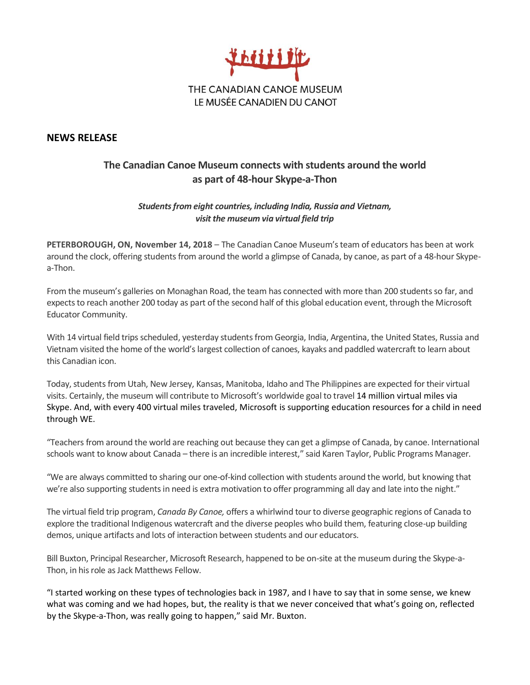

## **NEWS RELEASE**

## **The Canadian Canoe Museum connects with students around the world as part of 48-hour Skype-a-Thon**

## *Students from eight countries, including India, Russia and Vietnam, visit the museum via virtual field trip*

**PETERBOROUGH, ON, November 14, 2018** – The Canadian Canoe Museum's team of educators has been at work around the clock, offering students from around the world a glimpse of Canada, by canoe, as part of a 48-hour Skypea-Thon.

From the museum's galleries on Monaghan Road, the team has connected with more than 200 students so far, and expects to reach another 200 today as part of the second half of this global education event, through the Microsoft Educator Community.

With 14 virtual field trips scheduled, yesterday students from Georgia, India, Argentina, the United States, Russia and Vietnam visited the home of the world's largest collection of canoes, kayaks and paddled watercraft to learn about this Canadian icon.

Today, students from Utah, New Jersey, Kansas, Manitoba, Idaho and The Philippines are expected for their virtual visits. Certainly, the museum will contribute to Microsoft's worldwide goal to travel 14 million virtual miles via Skype. And, with every 400 virtual miles traveled, Microsoft is supporting education resources for a child in need through WE.

"Teachers from around the world are reaching out because they can get a glimpse of Canada, by canoe. International schools want to know about Canada – there is an incredible interest," said Karen Taylor, Public Programs Manager.

"We are always committed to sharing our one-of-kind collection with students around the world, but knowing that we're also supporting students in need is extra motivation to offer programming all day and late into the night."

The virtual field trip program, *Canada By Canoe,* offers a whirlwind tour to diverse geographic regions of Canada to explore the traditional Indigenous watercraft and the diverse peoples who build them, featuring close-up building demos, unique artifacts and lots of interaction between students and our educators.

Bill Buxton, Principal Researcher, Microsoft Research, happened to be on-site at the museum during the Skype-a-Thon, in his role as Jack Matthews Fellow.

"I started working on these types of technologies back in 1987, and I have to say that in some sense, we knew what was coming and we had hopes, but, the reality is that we never conceived that what's going on, reflected by the Skype-a-Thon, was really going to happen," said Mr. Buxton.